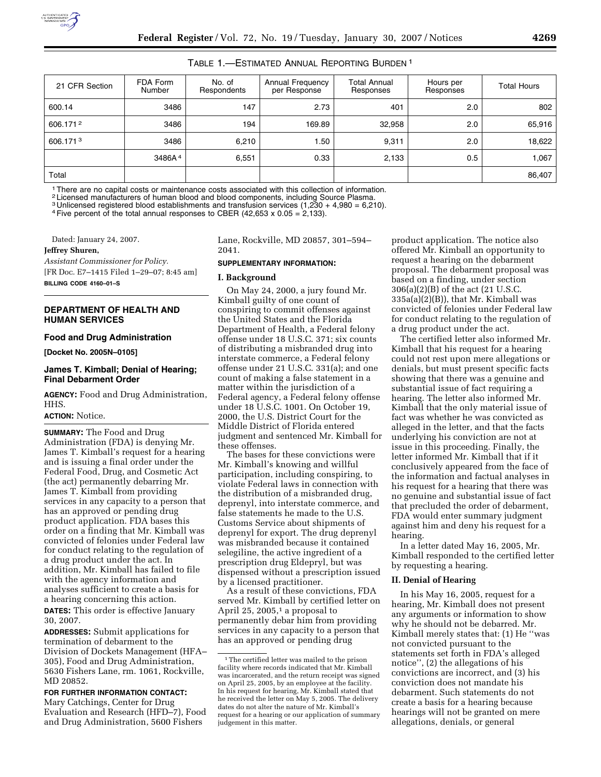### TABLE 1.—ESTIMATED ANNUAL REPORTING BURDEN 1

| 21 CFR Section | FDA Form<br>Number | No. of<br>Respondents | Annual Frequency<br>per Response | Total Annual<br>Responses | Hours per<br>Responses | <b>Total Hours</b> |
|----------------|--------------------|-----------------------|----------------------------------|---------------------------|------------------------|--------------------|
| 600.14         | 3486               | 147                   | 2.73                             | 401                       | 2.0                    | 802                |
| 606.1712       | 3486               | 194                   | 169.89                           | 32,958                    | 2.0                    | 65,916             |
| 606.1713       | 3486               | 6,210                 | 1.50                             | 9,311                     | 2.0                    | 18,622             |
|                | 3486A <sup>4</sup> | 6,551                 | 0.33                             | 2,133                     | 0.5                    | 1,067              |
| Total          |                    |                       |                                  |                           |                        | 86,407             |

1There are no capital costs or maintenance costs associated with this collection of information.

2 Licensed manufacturers of human blood and blood components, including Source Plasma.

3 Unlicensed registered blood establishments and transfusion services (1,230 + 4,980 = 6,210).

<sup>4</sup> Five percent of the total annual responses to CBER (42,653 x 0.05 = 2,133).

Dated: January 24, 2007.

**Jeffrey Shuren,** 

*Assistant Commissioner for Policy.*  [FR Doc. E7–1415 Filed 1–29–07; 8:45 am]

**BILLING CODE 4160–01–S** 

#### **DEPARTMENT OF HEALTH AND HUMAN SERVICES**

#### **Food and Drug Administration**

**[Docket No. 2005N–0105]** 

### **James T. Kimball; Denial of Hearing; Final Debarment Order**

**AGENCY:** Food and Drug Administration, HHS.

#### **ACTION:** Notice.

**SUMMARY:** The Food and Drug Administration (FDA) is denying Mr. James T. Kimball's request for a hearing and is issuing a final order under the Federal Food, Drug, and Cosmetic Act (the act) permanently debarring Mr. James T. Kimball from providing services in any capacity to a person that has an approved or pending drug product application. FDA bases this order on a finding that Mr. Kimball was convicted of felonies under Federal law for conduct relating to the regulation of a drug product under the act. In addition, Mr. Kimball has failed to file with the agency information and analyses sufficient to create a basis for a hearing concerning this action.

**DATES:** This order is effective January 30, 2007.

**ADDRESSES:** Submit applications for termination of debarment to the Division of Dockets Management (HFA– 305), Food and Drug Administration, 5630 Fishers Lane, rm. 1061, Rockville, MD 20852.

## **FOR FURTHER INFORMATION CONTACT:**

Mary Catchings, Center for Drug Evaluation and Research (HFD–7), Food and Drug Administration, 5600 Fishers

Lane, Rockville, MD 20857, 301–594– 2041.

# **SUPPLEMENTARY INFORMATION:**

#### **I. Background**

On May 24, 2000, a jury found Mr. Kimball guilty of one count of conspiring to commit offenses against the United States and the Florida Department of Health, a Federal felony offense under 18 U.S.C. 371; six counts of distributing a misbranded drug into interstate commerce, a Federal felony offense under 21 U.S.C. 331(a); and one count of making a false statement in a matter within the jurisdiction of a Federal agency, a Federal felony offense under 18 U.S.C. 1001. On October 19, 2000, the U.S. District Court for the Middle District of Florida entered judgment and sentenced Mr. Kimball for these offenses.

The bases for these convictions were Mr. Kimball's knowing and willful participation, including conspiring, to violate Federal laws in connection with the distribution of a misbranded drug, deprenyl, into interstate commerce, and false statements he made to the U.S. Customs Service about shipments of deprenyl for export. The drug deprenyl was misbranded because it contained selegiline, the active ingredient of a prescription drug Eldepryl, but was dispensed without a prescription issued by a licensed practitioner.

As a result of these convictions, FDA served Mr. Kimball by certified letter on April 25, 2005, $1$  a proposal to permanently debar him from providing services in any capacity to a person that has an approved or pending drug

product application. The notice also offered Mr. Kimball an opportunity to request a hearing on the debarment proposal. The debarment proposal was based on a finding, under section 306(a)(2)(B) of the act (21 U.S.C. 335a(a)(2)(B)), that Mr. Kimball was convicted of felonies under Federal law for conduct relating to the regulation of a drug product under the act.

The certified letter also informed Mr. Kimball that his request for a hearing could not rest upon mere allegations or denials, but must present specific facts showing that there was a genuine and substantial issue of fact requiring a hearing. The letter also informed Mr. Kimball that the only material issue of fact was whether he was convicted as alleged in the letter, and that the facts underlying his conviction are not at issue in this proceeding. Finally, the letter informed Mr. Kimball that if it conclusively appeared from the face of the information and factual analyses in his request for a hearing that there was no genuine and substantial issue of fact that precluded the order of debarment, FDA would enter summary judgment against him and deny his request for a hearing.

In a letter dated May 16, 2005, Mr. Kimball responded to the certified letter by requesting a hearing.

#### **II. Denial of Hearing**

In his May 16, 2005, request for a hearing, Mr. Kimball does not present any arguments or information to show why he should not be debarred. Mr. Kimball merely states that: (1) He ''was not convicted pursuant to the statements set forth in FDA's alleged notice'', (2) the allegations of his convictions are incorrect, and (3) his conviction does not mandate his debarment. Such statements do not create a basis for a hearing because hearings will not be granted on mere allegations, denials, or general

<sup>1</sup>The certified letter was mailed to the prison facility where records indicated that Mr. Kimball was incarcerated, and the return receipt was signed on April 25, 2005, by an employee at the facility. In his request for hearing, Mr. Kimball stated that he received the letter on May 5, 2005. The delivery dates do not alter the nature of Mr. Kimball's request for a hearing or our application of summary judgement in this matter.